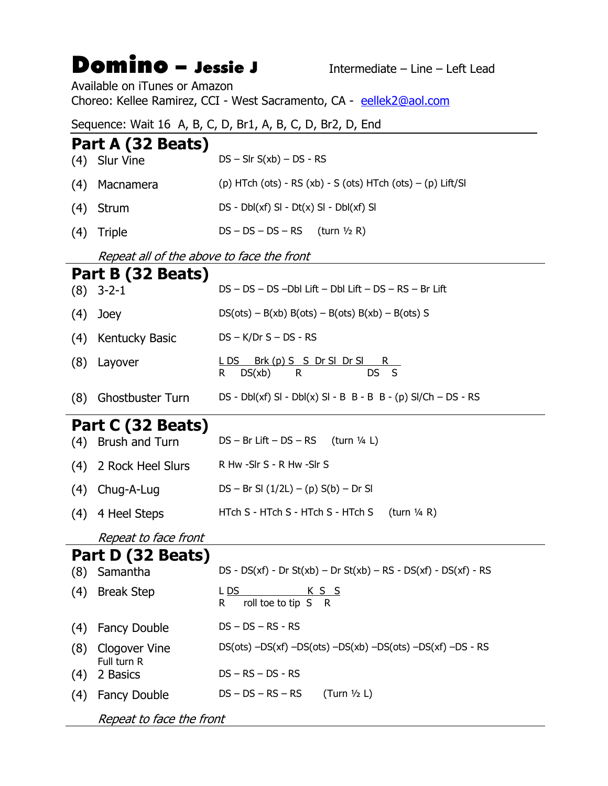# Domino – Jessie J<br>Intermediate – Line – Left Lead

Available on iTunes or Amazon Choreo: Kellee Ramirez, CCI - West Sacramento, CA - eellek2@aol.com

#### Sequence: Wait 16 A, B, C, D, Br1, A, B, C, D, Br2, D, End

#### Part A (32 Beats)

| (4)               | <b>Slur Vine</b>                          | $DS - Slr S(xb) - DS - RS$                                                 |
|-------------------|-------------------------------------------|----------------------------------------------------------------------------|
| (4)               | Macnamera                                 | (p) HTch (ots) - RS (xb) - S (ots) HTch (ots) $-$ (p) Lift/SI              |
| (4)               | Strum                                     | DS - Dbl(xf) SI - Dt(x) SI - Dbl(xf) SI                                    |
| (4)               | <b>Triple</b>                             | $DS - DS - DS - RS$ (turn 1/2 R)                                           |
|                   | Repeat all of the above to face the front |                                                                            |
| Part B (32 Beats) |                                           |                                                                            |
| (8)               | $3 - 2 - 1$                               | DS - DS - DS - Dbl Lift - Dbl Lift - DS - RS - Br Lift                     |
| (4)               | Joey                                      | $DS(ots) - B(xb) B(ots) - B(ots) B(xb) - B(ots) S$                         |
| (4)               | Kentucky Basic                            | $DS - K/Dr S - DS - RS$                                                    |
| (8)               | Layover                                   | LDS Brk (p) S S Dr SI Dr SI R<br>DS S<br>DS(xb)<br>R.<br>R.                |
| (8)               | <b>Ghostbuster Turn</b>                   | $DS - Dbl(xf)$ SI - $Dbl(x)$ SI - B B - B B - (p) SI/Ch – DS - RS          |
| Part C (32 Beats) |                                           |                                                                            |
| (4)               | Brush and Turn                            | $DS - Br$ Lift $- DS - RS$ (turn 1/4 L)                                    |
| (4)               | 2 Rock Heel Slurs                         | R Hw -Slr S - R Hw -Slr S                                                  |
| (4)               | Chug-A-Lug                                | $DS - Br SI (1/2L) - (p) S(b) - Dr SI$                                     |
| (4)               | 4 Heel Steps                              | HTch S - HTch S - HTch S - HTch S<br>(turn $\frac{1}{4}$ R)                |
|                   | Repeat to face front                      |                                                                            |
| Part D (32 Beats) |                                           |                                                                            |
|                   | (8) Samantha                              | $DS - DS(xf) - Dr St(xb) - Dr St(xb) - RS - DS(xf) - DS(xf) - RS$          |
| (4)               | <b>Break Step</b>                         | <u>L DS</u><br><u>KSS</u><br>R<br>roll toe to tip S<br>$\mathsf{R}$        |
| (4)               | <b>Fancy Double</b>                       | $DS - DS - RS - RS$                                                        |
| (8)               | Clogover Vine<br>Full turn R              | $DS(ots)$ $-DS(xf)$ $-DS(ots)$ $-DS(xb)$ $-DS(ots)$ $-DS(xf)$ $-DS$ $- RS$ |
| (4)               | 2 Basics                                  | $DS - RS - DS - RS$                                                        |
| (4)               | <b>Fancy Double</b>                       | $DS - DS - RS - RS$<br>(Turn $1/2$ L)                                      |
|                   | Repeat to face the front                  |                                                                            |